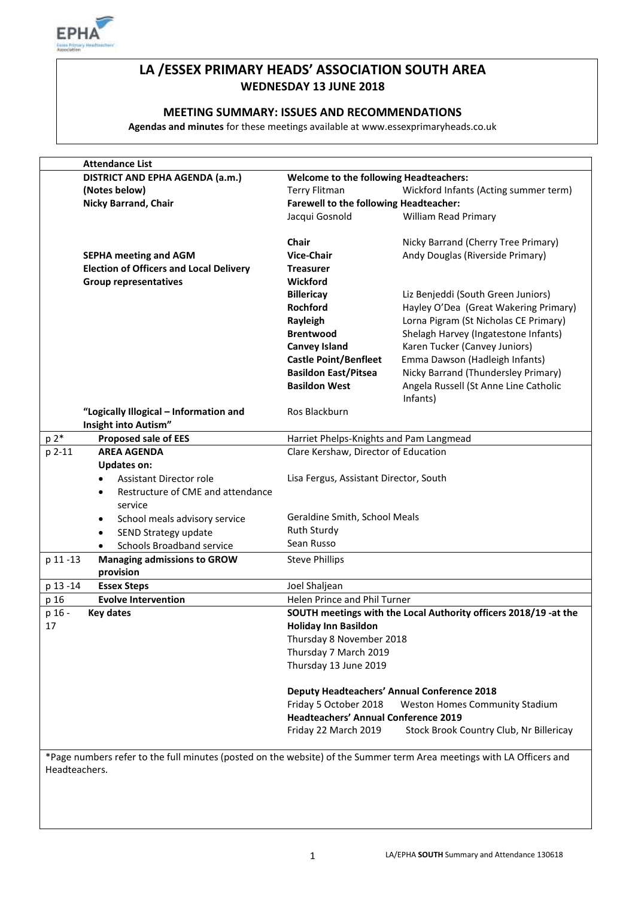

# **LA /ESSEX PRIMARY HEADS' ASSOCIATION SOUTH AREA WEDNESDAY 13 JUNE 2018**

# **MEETING SUMMARY: ISSUES AND RECOMMENDATIONS**

**Agendas and minutes** for these meetings available at www.essexprimaryheads.co.uk

| <b>Attendance List</b>                                                                                                |                                                                                                               |                                         |  |  |
|-----------------------------------------------------------------------------------------------------------------------|---------------------------------------------------------------------------------------------------------------|-----------------------------------------|--|--|
| DISTRICT AND EPHA AGENDA (a.m.)                                                                                       | <b>Welcome to the following Headteachers:</b>                                                                 |                                         |  |  |
| (Notes below)                                                                                                         | <b>Terry Flitman</b>                                                                                          | Wickford Infants (Acting summer term)   |  |  |
| <b>Nicky Barrand, Chair</b>                                                                                           | Farewell to the following Headteacher:                                                                        |                                         |  |  |
|                                                                                                                       | Jacqui Gosnold                                                                                                | <b>William Read Primary</b>             |  |  |
|                                                                                                                       |                                                                                                               |                                         |  |  |
|                                                                                                                       | <b>Chair</b>                                                                                                  | Nicky Barrand (Cherry Tree Primary)     |  |  |
| <b>SEPHA meeting and AGM</b>                                                                                          | <b>Vice-Chair</b>                                                                                             | Andy Douglas (Riverside Primary)        |  |  |
| <b>Election of Officers and Local Delivery</b>                                                                        | <b>Treasurer</b>                                                                                              |                                         |  |  |
| <b>Group representatives</b>                                                                                          | Wickford                                                                                                      |                                         |  |  |
|                                                                                                                       | <b>Billericay</b>                                                                                             | Liz Benjeddi (South Green Juniors)      |  |  |
|                                                                                                                       | <b>Rochford</b>                                                                                               | Hayley O'Dea (Great Wakering Primary)   |  |  |
|                                                                                                                       | Rayleigh                                                                                                      | Lorna Pigram (St Nicholas CE Primary)   |  |  |
|                                                                                                                       | <b>Brentwood</b>                                                                                              | Shelagh Harvey (Ingatestone Infants)    |  |  |
|                                                                                                                       | <b>Canvey Island</b>                                                                                          | Karen Tucker (Canvey Juniors)           |  |  |
|                                                                                                                       | <b>Castle Point/Benfleet</b>                                                                                  | Emma Dawson (Hadleigh Infants)          |  |  |
|                                                                                                                       | <b>Basildon East/Pitsea</b>                                                                                   | Nicky Barrand (Thundersley Primary)     |  |  |
|                                                                                                                       | <b>Basildon West</b>                                                                                          | Angela Russell (St Anne Line Catholic   |  |  |
|                                                                                                                       |                                                                                                               | Infants)                                |  |  |
| "Logically Illogical - Information and                                                                                | Ros Blackburn                                                                                                 |                                         |  |  |
| Insight into Autism"                                                                                                  |                                                                                                               |                                         |  |  |
| p 2*<br><b>Proposed sale of EES</b>                                                                                   | Harriet Phelps-Knights and Pam Langmead                                                                       |                                         |  |  |
| <b>AREA AGENDA</b><br>p 2-11                                                                                          | Clare Kershaw, Director of Education                                                                          |                                         |  |  |
| <b>Updates on:</b>                                                                                                    |                                                                                                               |                                         |  |  |
| <b>Assistant Director role</b><br>$\bullet$                                                                           | Lisa Fergus, Assistant Director, South                                                                        |                                         |  |  |
| Restructure of CME and attendance<br>$\bullet$                                                                        |                                                                                                               |                                         |  |  |
| service                                                                                                               |                                                                                                               |                                         |  |  |
|                                                                                                                       | Geraldine Smith, School Meals                                                                                 |                                         |  |  |
| School meals advisory service<br>$\bullet$                                                                            | <b>Ruth Sturdy</b>                                                                                            |                                         |  |  |
| SEND Strategy update<br>$\bullet$                                                                                     | Sean Russo                                                                                                    |                                         |  |  |
| <b>Schools Broadband service</b><br>$\bullet$                                                                         |                                                                                                               |                                         |  |  |
| p 11-13<br><b>Managing admissions to GROW</b><br>provision                                                            | <b>Steve Phillips</b>                                                                                         |                                         |  |  |
| p 13 -14<br><b>Essex Steps</b>                                                                                        | Joel Shaljean                                                                                                 |                                         |  |  |
| p 16<br><b>Evolve Intervention</b>                                                                                    | Helen Prince and Phil Turner                                                                                  |                                         |  |  |
| p 16 -<br><b>Key dates</b>                                                                                            | SOUTH meetings with the Local Authority officers 2018/19 -at the                                              |                                         |  |  |
| 17                                                                                                                    | <b>Holiday Inn Basildon</b>                                                                                   |                                         |  |  |
|                                                                                                                       |                                                                                                               |                                         |  |  |
|                                                                                                                       | Thursday 8 November 2018                                                                                      |                                         |  |  |
|                                                                                                                       | Thursday 7 March 2019                                                                                         |                                         |  |  |
|                                                                                                                       | Thursday 13 June 2019                                                                                         |                                         |  |  |
|                                                                                                                       |                                                                                                               |                                         |  |  |
|                                                                                                                       | <b>Deputy Headteachers' Annual Conference 2018</b><br>Friday 5 October 2018<br>Weston Homes Community Stadium |                                         |  |  |
|                                                                                                                       | <b>Headteachers' Annual Conference 2019</b>                                                                   |                                         |  |  |
|                                                                                                                       |                                                                                                               |                                         |  |  |
|                                                                                                                       | Friday 22 March 2019                                                                                          | Stock Brook Country Club, Nr Billericay |  |  |
|                                                                                                                       |                                                                                                               |                                         |  |  |
| *Page numbers refer to the full minutes (posted on the website) of the Summer term Area meetings with LA Officers and |                                                                                                               |                                         |  |  |
| Headteachers.                                                                                                         |                                                                                                               |                                         |  |  |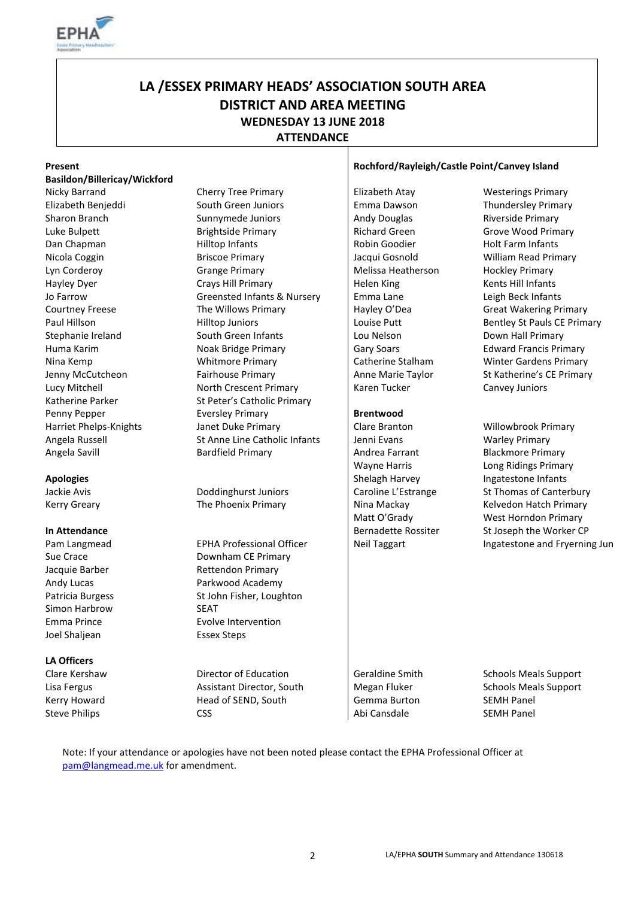

# **LA /ESSEX PRIMARY HEADS' ASSOCIATION SOUTH AREA DISTRICT AND AREA MEETING WEDNESDAY 13 JUNE 2018 ATTENDANCE**

| Present                                                                                                   |                                  | Rochford/Rayleigh/Castle Point/Canvey Island |                               |  |
|-----------------------------------------------------------------------------------------------------------|----------------------------------|----------------------------------------------|-------------------------------|--|
| Basildon/Billericay/Wickford                                                                              |                                  |                                              |                               |  |
| Nicky Barrand                                                                                             | <b>Cherry Tree Primary</b>       | Elizabeth Atay                               | <b>Westerings Primary</b>     |  |
| Elizabeth Benjeddi                                                                                        | South Green Juniors              | Emma Dawson                                  | Thundersley Primary           |  |
| Sharon Branch                                                                                             | Sunnymede Juniors                | Andy Douglas                                 | Riverside Primary             |  |
| Luke Bulpett                                                                                              | <b>Brightside Primary</b>        | <b>Richard Green</b>                         | Grove Wood Primary            |  |
| Dan Chapman                                                                                               | Hilltop Infants                  | Robin Goodier                                | <b>Holt Farm Infants</b>      |  |
| Nicola Coggin                                                                                             | <b>Briscoe Primary</b>           | Jacqui Gosnold                               | William Read Primary          |  |
| Lyn Corderoy                                                                                              | <b>Grange Primary</b>            | Melissa Heatherson                           | <b>Hockley Primary</b>        |  |
| Hayley Dyer                                                                                               | Crays Hill Primary               | Helen King                                   | Kents Hill Infants            |  |
| Jo Farrow                                                                                                 | Greensted Infants & Nursery      | Emma Lane                                    | Leigh Beck Infants            |  |
| <b>Courtney Freese</b>                                                                                    | The Willows Primary              | Hayley O'Dea                                 | <b>Great Wakering Primary</b> |  |
| Paul Hillson                                                                                              | <b>Hilltop Juniors</b>           | Louise Putt                                  | Bentley St Pauls CE Primary   |  |
| Stephanie Ireland                                                                                         | South Green Infants              | Lou Nelson                                   | Down Hall Primary             |  |
| Huma Karim                                                                                                | Noak Bridge Primary              | Gary Soars                                   | <b>Edward Francis Primary</b> |  |
| Nina Kemp                                                                                                 | <b>Whitmore Primary</b>          | Catherine Stalham                            | <b>Winter Gardens Primary</b> |  |
| Jenny McCutcheon                                                                                          | Fairhouse Primary                | Anne Marie Taylor                            | St Katherine's CE Primary     |  |
| Lucy Mitchell                                                                                             | North Crescent Primary           | Karen Tucker                                 | Canvey Juniors                |  |
| Katherine Parker                                                                                          | St Peter's Catholic Primary      |                                              |                               |  |
| Penny Pepper                                                                                              | <b>Eversley Primary</b>          | <b>Brentwood</b>                             |                               |  |
| Harriet Phelps-Knights                                                                                    | Janet Duke Primary               | Clare Branton                                | Willowbrook Primary           |  |
| Angela Russell                                                                                            | St Anne Line Catholic Infants    | Jenni Evans                                  | <b>Warley Primary</b>         |  |
| Angela Savill                                                                                             | <b>Bardfield Primary</b>         | Andrea Farrant                               | <b>Blackmore Primary</b>      |  |
|                                                                                                           |                                  | <b>Wayne Harris</b>                          | Long Ridings Primary          |  |
| <b>Apologies</b>                                                                                          |                                  | Shelagh Harvey                               | Ingatestone Infants           |  |
| Jackie Avis                                                                                               | Doddinghurst Juniors             | Caroline L'Estrange                          | St Thomas of Canterbury       |  |
| <b>Kerry Greary</b>                                                                                       | The Phoenix Primary              | Nina Mackay                                  | Kelvedon Hatch Primary        |  |
|                                                                                                           |                                  | Matt O'Grady                                 | West Horndon Primary          |  |
| <b>In Attendance</b>                                                                                      |                                  | <b>Bernadette Rossiter</b>                   | St Joseph the Worker CP       |  |
| Pam Langmead                                                                                              | <b>EPHA Professional Officer</b> | <b>Neil Taggart</b>                          | Ingatestone and Fryerning Jun |  |
| Sue Crace                                                                                                 | Downham CE Primary               |                                              |                               |  |
| Jacquie Barber                                                                                            | <b>Rettendon Primary</b>         |                                              |                               |  |
| Andy Lucas                                                                                                | Parkwood Academy                 |                                              |                               |  |
| Patricia Burgess                                                                                          | St John Fisher, Loughton         |                                              |                               |  |
| Simon Harbrow                                                                                             | <b>SEAT</b>                      |                                              |                               |  |
| Emma Prince                                                                                               | Evolve Intervention              |                                              |                               |  |
| Joel Shaljean                                                                                             | <b>Essex Steps</b>               |                                              |                               |  |
| <b>LA Officers</b>                                                                                        |                                  |                                              |                               |  |
| Clare Kershaw                                                                                             | Director of Education            | <b>Geraldine Smith</b>                       | <b>Schools Meals Support</b>  |  |
| Lisa Fergus                                                                                               | Assistant Director, South        | Megan Fluker                                 | <b>Schools Meals Support</b>  |  |
| Kerry Howard                                                                                              | Head of SEND, South              | Gemma Burton                                 | <b>SEMH Panel</b>             |  |
| <b>Steve Philips</b>                                                                                      | <b>CSS</b>                       | Abi Cansdale                                 | <b>SEMH Panel</b>             |  |
| Note: If your attendance or apologies have not been noted please contact the EPHA Professional Officer at |                                  |                                              |                               |  |

[pam@langmead.me.uk](mailto:pam@langmead.me.uk) for amendment.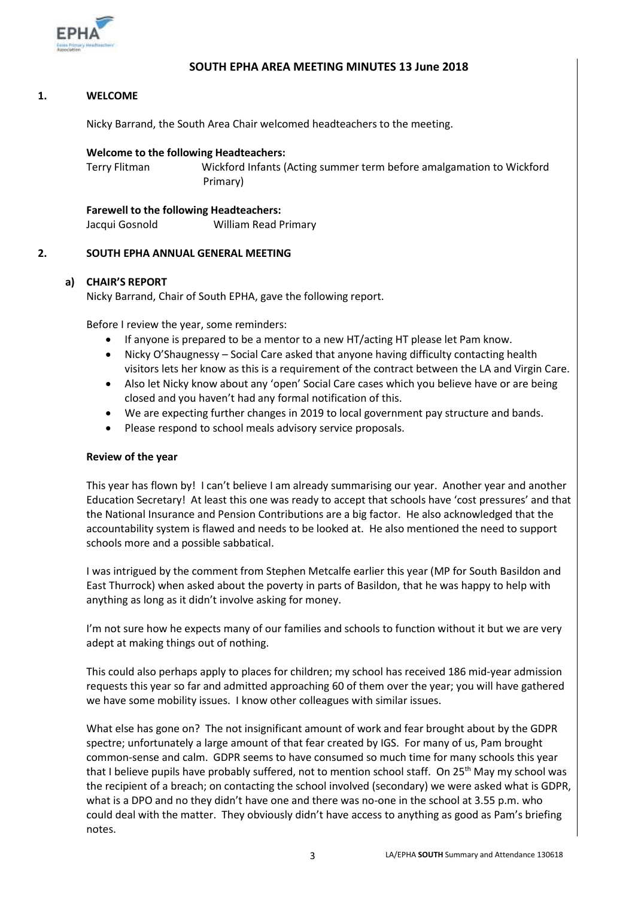

# **SOUTH EPHA AREA MEETING MINUTES 13 June 2018**

# **1. WELCOME**

Nicky Barrand, the South Area Chair welcomed headteachers to the meeting.

#### **Welcome to the following Headteachers:**

Terry Flitman Wickford Infants (Acting summer term before amalgamation to Wickford Primary)

**Farewell to the following Headteachers:** Jacqui Gosnold William Read Primary

#### **2. SOUTH EPHA ANNUAL GENERAL MEETING**

# **a) CHAIR'S REPORT**

Nicky Barrand, Chair of South EPHA, gave the following report.

Before I review the year, some reminders:

- If anyone is prepared to be a mentor to a new HT/acting HT please let Pam know.
- Nicky O'Shaugnessy Social Care asked that anyone having difficulty contacting health visitors lets her know as this is a requirement of the contract between the LA and Virgin Care.
- Also let Nicky know about any 'open' Social Care cases which you believe have or are being closed and you haven't had any formal notification of this.
- We are expecting further changes in 2019 to local government pay structure and bands.
- Please respond to school meals advisory service proposals.

#### **Review of the year**

This year has flown by! I can't believe I am already summarising our year. Another year and another Education Secretary! At least this one was ready to accept that schools have 'cost pressures' and that the National Insurance and Pension Contributions are a big factor. He also acknowledged that the accountability system is flawed and needs to be looked at. He also mentioned the need to support schools more and a possible sabbatical.

I was intrigued by the comment from Stephen Metcalfe earlier this year (MP for South Basildon and East Thurrock) when asked about the poverty in parts of Basildon, that he was happy to help with anything as long as it didn't involve asking for money.

I'm not sure how he expects many of our families and schools to function without it but we are very adept at making things out of nothing.

This could also perhaps apply to places for children; my school has received 186 mid-year admission requests this year so far and admitted approaching 60 of them over the year; you will have gathered we have some mobility issues. I know other colleagues with similar issues.

What else has gone on? The not insignificant amount of work and fear brought about by the GDPR spectre; unfortunately a large amount of that fear created by IGS. For many of us, Pam brought common-sense and calm. GDPR seems to have consumed so much time for many schools this year that I believe pupils have probably suffered, not to mention school staff. On 25<sup>th</sup> May my school was the recipient of a breach; on contacting the school involved (secondary) we were asked what is GDPR, what is a DPO and no they didn't have one and there was no-one in the school at 3.55 p.m. who could deal with the matter. They obviously didn't have access to anything as good as Pam's briefing notes.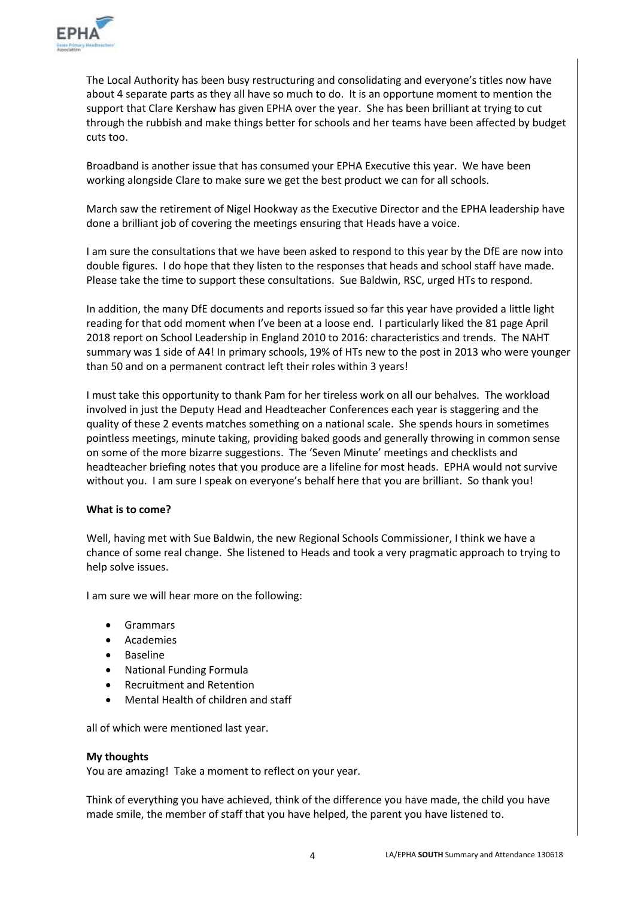

The Local Authority has been busy restructuring and consolidating and everyone's titles now have about 4 separate parts as they all have so much to do. It is an opportune moment to mention the support that Clare Kershaw has given EPHA over the year. She has been brilliant at trying to cut through the rubbish and make things better for schools and her teams have been affected by budget cuts too.

Broadband is another issue that has consumed your EPHA Executive this year. We have been working alongside Clare to make sure we get the best product we can for all schools.

March saw the retirement of Nigel Hookway as the Executive Director and the EPHA leadership have done a brilliant job of covering the meetings ensuring that Heads have a voice.

I am sure the consultations that we have been asked to respond to this year by the DfE are now into double figures. I do hope that they listen to the responses that heads and school staff have made. Please take the time to support these consultations. Sue Baldwin, RSC, urged HTs to respond.

In addition, the many DfE documents and reports issued so far this year have provided a little light reading for that odd moment when I've been at a loose end. I particularly liked the 81 page April 2018 report on School Leadership in England 2010 to 2016: characteristics and trends. The NAHT summary was 1 side of A4! In primary schools, 19% of HTs new to the post in 2013 who were younger than 50 and on a permanent contract left their roles within 3 years!

I must take this opportunity to thank Pam for her tireless work on all our behalves. The workload involved in just the Deputy Head and Headteacher Conferences each year is staggering and the quality of these 2 events matches something on a national scale. She spends hours in sometimes pointless meetings, minute taking, providing baked goods and generally throwing in common sense on some of the more bizarre suggestions. The 'Seven Minute' meetings and checklists and headteacher briefing notes that you produce are a lifeline for most heads. EPHA would not survive without you. I am sure I speak on everyone's behalf here that you are brilliant. So thank you!

### **What is to come?**

Well, having met with Sue Baldwin, the new Regional Schools Commissioner, I think we have a chance of some real change. She listened to Heads and took a very pragmatic approach to trying to help solve issues.

I am sure we will hear more on the following:

- Grammars
- Academies
- Baseline
- National Funding Formula
- Recruitment and Retention
- Mental Health of children and staff

all of which were mentioned last year.

# **My thoughts**

You are amazing! Take a moment to reflect on your year.

Think of everything you have achieved, think of the difference you have made, the child you have made smile, the member of staff that you have helped, the parent you have listened to.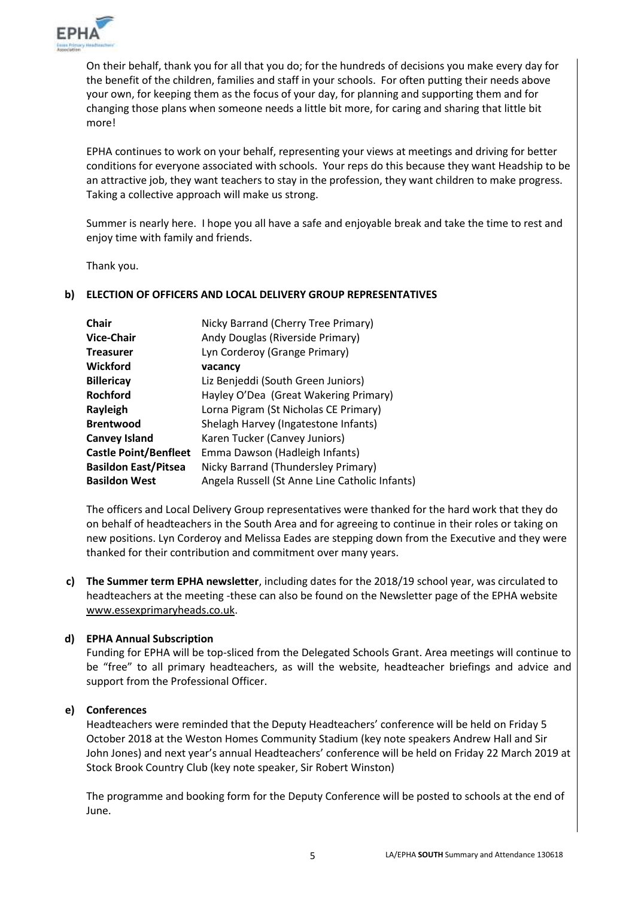

On their behalf, thank you for all that you do; for the hundreds of decisions you make every day for the benefit of the children, families and staff in your schools. For often putting their needs above your own, for keeping them as the focus of your day, for planning and supporting them and for changing those plans when someone needs a little bit more, for caring and sharing that little bit more!

EPHA continues to work on your behalf, representing your views at meetings and driving for better conditions for everyone associated with schools. Your reps do this because they want Headship to be an attractive job, they want teachers to stay in the profession, they want children to make progress. Taking a collective approach will make us strong.

Summer is nearly here. I hope you all have a safe and enjoyable break and take the time to rest and enjoy time with family and friends.

Thank you.

# **b) ELECTION OF OFFICERS AND LOCAL DELIVERY GROUP REPRESENTATIVES**

| Nicky Barrand (Cherry Tree Primary)            |  |
|------------------------------------------------|--|
| Andy Douglas (Riverside Primary)               |  |
| Lyn Corderoy (Grange Primary)                  |  |
| vacancy                                        |  |
| Liz Benjeddi (South Green Juniors)             |  |
| Hayley O'Dea (Great Wakering Primary)          |  |
| Lorna Pigram (St Nicholas CE Primary)          |  |
| Shelagh Harvey (Ingatestone Infants)           |  |
| Karen Tucker (Canvey Juniors)                  |  |
| Emma Dawson (Hadleigh Infants)                 |  |
| Nicky Barrand (Thundersley Primary)            |  |
| Angela Russell (St Anne Line Catholic Infants) |  |
|                                                |  |

The officers and Local Delivery Group representatives were thanked for the hard work that they do on behalf of headteachers in the South Area and for agreeing to continue in their roles or taking on new positions. Lyn Corderoy and Melissa Eades are stepping down from the Executive and they were thanked for their contribution and commitment over many years.

**c) The Summer term EPHA newsletter**, including dates for the 2018/19 school year, was circulated to headteachers at the meeting -these can also be found on the Newsletter page of the EPHA website [www.essexprimaryheads.co.uk.](http://www.essexprimaryheads.co.uk/)

# **d) EPHA Annual Subscription**

Funding for EPHA will be top-sliced from the Delegated Schools Grant. Area meetings will continue to be "free" to all primary headteachers, as will the website, headteacher briefings and advice and support from the Professional Officer.

### **e) Conferences**

Headteachers were reminded that the Deputy Headteachers' conference will be held on Friday 5 October 2018 at the Weston Homes Community Stadium (key note speakers Andrew Hall and Sir John Jones) and next year's annual Headteachers' conference will be held on Friday 22 March 2019 at Stock Brook Country Club (key note speaker, Sir Robert Winston)

The programme and booking form for the Deputy Conference will be posted to schools at the end of June.